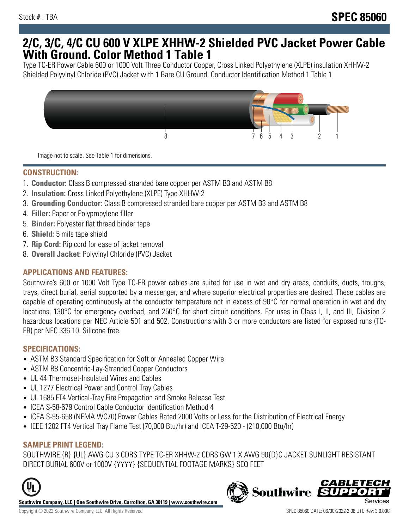## **2/C, 3/C, 4/C CU 600 V XLPE XHHW-2 Shielded PVC Jacket Power Cable With Ground. Color Method 1 Table 1**

Type TC-ER Power Cable 600 or 1000 Volt Three Conductor Copper, Cross Linked Polyethylene (XLPE) insulation XHHW-2 Shielded Polyvinyl Chloride (PVC) Jacket with 1 Bare CU Ground. Conductor Identification Method 1 Table 1



Image not to scale. See Table 1 for dimensions.

## **CONSTRUCTION:**

- 1. **Conductor:** Class B compressed stranded bare copper per ASTM B3 and ASTM B8
- 2. **Insulation:** Cross Linked Polyethylene (XLPE) Type XHHW-2
- 3. **Grounding Conductor:** Class B compressed stranded bare copper per ASTM B3 and ASTM B8
- 4. **Filler:** Paper or Polypropylene filler
- 5. **Binder:** Polyester flat thread binder tape
- 6. **Shield:** 5 mils tape shield
- 7. **Rip Cord:** Rip cord for ease of jacket removal
- 8. **Overall Jacket:** Polyvinyl Chloride (PVC) Jacket

## **APPLICATIONS AND FEATURES:**

Southwire's 600 or 1000 Volt Type TC-ER power cables are suited for use in wet and dry areas, conduits, ducts, troughs, trays, direct burial, aerial supported by a messenger, and where superior electrical properties are desired. These cables are capable of operating continuously at the conductor temperature not in excess of 90°C for normal operation in wet and dry locations, 130°C for emergency overload, and 250°C for short circuit conditions. For uses in Class I, II, and III, Division 2 hazardous locations per NEC Article 501 and 502. Constructions with 3 or more conductors are listed for exposed runs (TC-ER) per NEC 336.10. Silicone free.

#### **SPECIFICATIONS:**

- ASTM B3 Standard Specification for Soft or Annealed Copper Wire
- ASTM B8 Concentric-Lay-Stranded Copper Conductors
- UL 44 Thermoset-Insulated Wires and Cables
- UL 1277 Electrical Power and Control Tray Cables
- UL 1685 FT4 Vertical-Tray Fire Propagation and Smoke Release Test
- ICEA S-58-679 Control Cable Conductor Identification Method 4
- ICEA S-95-658 (NEMA WC70) Power Cables Rated 2000 Volts or Less for the Distribution of Electrical Energy
- IEEE 1202 FT4 Vertical Tray Flame Test (70,000 Btu/hr) and ICEA T-29-520 (210,000 Btu/hr)

#### **SAMPLE PRINT LEGEND:**

SOUTHWIRE {R} {UL} AWG CU 3 CDRS TYPE TC-ER XHHW-2 CDRS GW 1 X AWG 90{D}C JACKET SUNLIGHT RESISTANT DIRECT BURIAL 600V or 1000V {YYYY} {SEQUENTIAL FOOTAGE MARKS} SEQ FEET



**Southwire Company, LLC | One Southwire Drive, Carrollton, GA 30119 | www.southwire.com**